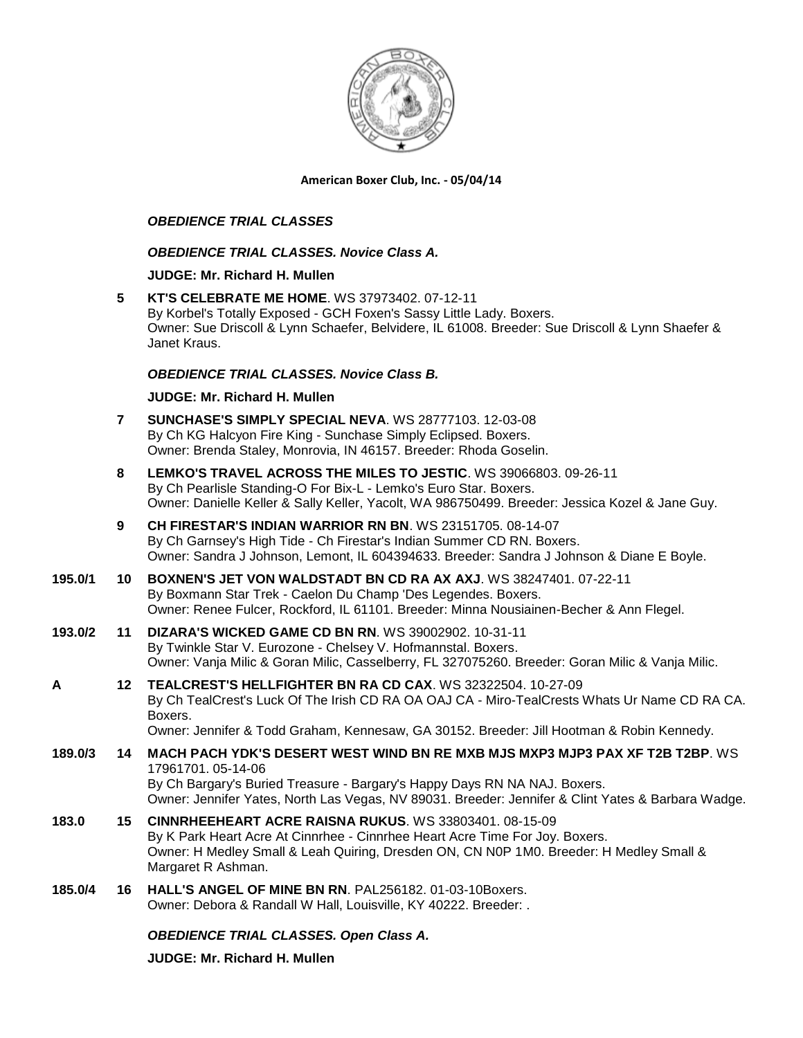

**American Boxer Club, Inc. - 05/04/14** 

## *OBEDIENCE TRIAL CLASSES*

## *OBEDIENCE TRIAL CLASSES. Novice Class A.*

### **JUDGE: [Mr. Richard H. Mullen](http://www.infodog.com/judges/3052/juddat.htm)**

**5 [KT'S CELEBRATE ME HOME](http://www.infodog.com/files/bdogrsl1.prg;makc=WS%2037973402;mdog=KT_s_Celebrate_Me_Home;wins=all)**. WS 37973402. 07-12-11 By Korbel's Totally Exposed - GCH Foxen's Sassy Little Lady. Boxers. Owner: Sue Driscoll & Lynn Schaefer, Belvidere, IL 61008. Breeder: Sue Driscoll & Lynn Shaefer & Janet Kraus.

## *OBEDIENCE TRIAL CLASSES. Novice Class B.*

### **JUDGE: [Mr. Richard H. Mullen](http://www.infodog.com/judges/3052/juddat.htm)**

- **7 [SUNCHASE'S SIMPLY SPECIAL NEVA](http://www.infodog.com/files/bdogrsl1.prg;makc=WS%2028777103;mdog=Sunchase_s_Simply_Special_Neva;wins=all)**. WS 28777103. 12-03-08 By Ch KG Halcyon Fire King - Sunchase Simply Eclipsed. Boxers. Owner: Brenda Staley, Monrovia, IN 46157. Breeder: Rhoda Goselin.
- **8 [LEMKO'S TRAVEL ACROSS THE MILES TO JESTIC](http://www.infodog.com/files/bdogrsl1.prg;makc=WS%2039066803;mdog=Lemko_s_Travel_Across_The_Miles_To_Jestic;wins=all)**. WS 39066803. 09-26-11 By Ch Pearlisle Standing-O For Bix-L - Lemko's Euro Star. Boxers. Owner: Danielle Keller & Sally Keller, Yacolt, WA 986750499. Breeder: Jessica Kozel & Jane Guy.
- **9 [CH FIRESTAR'S INDIAN WARRIOR RN BN](http://www.infodog.com/files/bdogrsl1.prg;makc=WS%2023151705;mdog=Ch_Firestar_s_Indian_Warrior_RN_BN;wins=all)**. WS 23151705. 08-14-07 By Ch Garnsey's High Tide - Ch Firestar's Indian Summer CD RN. Boxers. Owner: Sandra J Johnson, Lemont, IL 604394633. Breeder: Sandra J Johnson & Diane E Boyle.
- **195.0/1 10 [BOXNEN'S JET VON WALDSTADT BN CD RA AX AXJ](http://www.infodog.com/files/bdogrsl1.prg;makc=WS%2038247401;mdog=Boxnen_s_Jet_Von_Waldstadt_BN_CD_RA_AX_AXJ;wins=all)**. WS 38247401. 07-22-11 By Boxmann Star Trek - Caelon Du Champ 'Des Legendes. Boxers. Owner: Renee Fulcer, Rockford, IL 61101. Breeder: Minna Nousiainen-Becher & Ann Flegel.
- **193.0/2 11 [DIZARA'S WICKED GAME CD BN RN](http://www.infodog.com/files/bdogrsl1.prg;makc=WS%2039002902;mdog=Dizara_s_Wicked_Game_CD_BN_RN;wins=all)**. WS 39002902. 10-31-11 By Twinkle Star V. Eurozone - Chelsey V. Hofmannstal. Boxers. Owner: Vanja Milic & Goran Milic, Casselberry, FL 327075260. Breeder: Goran Milic & Vanja Milic.
- **A 12 [TEALCREST'S HELLFIGHTER BN RA CD CAX](http://www.infodog.com/files/bdogrsl1.prg;makc=WS%2032322504;mdog=TealCrest_s_Hellfighter_BN_RA_CD_CAX;wins=all)**. WS 32322504. 10-27-09 By Ch TealCrest's Luck Of The Irish CD RA OA OAJ CA - Miro-TealCrests Whats Ur Name CD RA CA. Boxers.

Owner: Jennifer & Todd Graham, Kennesaw, GA 30152. Breeder: Jill Hootman & Robin Kennedy.

- **189.0/3 14 [MACH PACH YDK'S DESERT WEST WIND BN RE MXB MJS MXP3 MJP3 PAX XF T2B T2BP](http://www.infodog.com/files/bdogrsl1.prg;makc=WS%2017961701;mdog=MACH_PACH_YDK_s_Desert_West_Wind_BN_RE_MXB_MJS_MXP3_MJP3_PAX_XF_T2B_T2BP;wins=all)**. WS 17961701. 05-14-06 By Ch Bargary's Buried Treasure - Bargary's Happy Days RN NA NAJ. Boxers. Owner: Jennifer Yates, North Las Vegas, NV 89031. Breeder: Jennifer & Clint Yates & Barbara Wadge.
- **183.0 15 [CINNRHEEHEART ACRE RAISNA RUKUS](http://www.infodog.com/files/bdogrsl1.prg;makc=WS%2033803401;mdog=Cinnrheeheart_Acre_Raisna_Rukus;wins=all)**. WS 33803401. 08-15-09 By K Park Heart Acre At Cinnrhee - Cinnrhee Heart Acre Time For Joy. Boxers. Owner: H Medley Small & Leah Quiring, Dresden ON, CN N0P 1M0. Breeder: H Medley Small & Margaret R Ashman.
- **185.0/4 16 [HALL'S ANGEL OF MINE BN RN](http://www.infodog.com/files/bdogrsl1.prg;makc=PAL256182;mdog=Hall_s_Angel_Of_Mine_BN_RN;wins=all)**. PAL256182. 01-03-10Boxers. Owner: Debora & Randall W Hall, Louisville, KY 40222. Breeder: .

# *OBEDIENCE TRIAL CLASSES. Open Class A.*

**JUDGE: [Mr. Richard H. Mullen](http://www.infodog.com/judges/3052/juddat.htm)**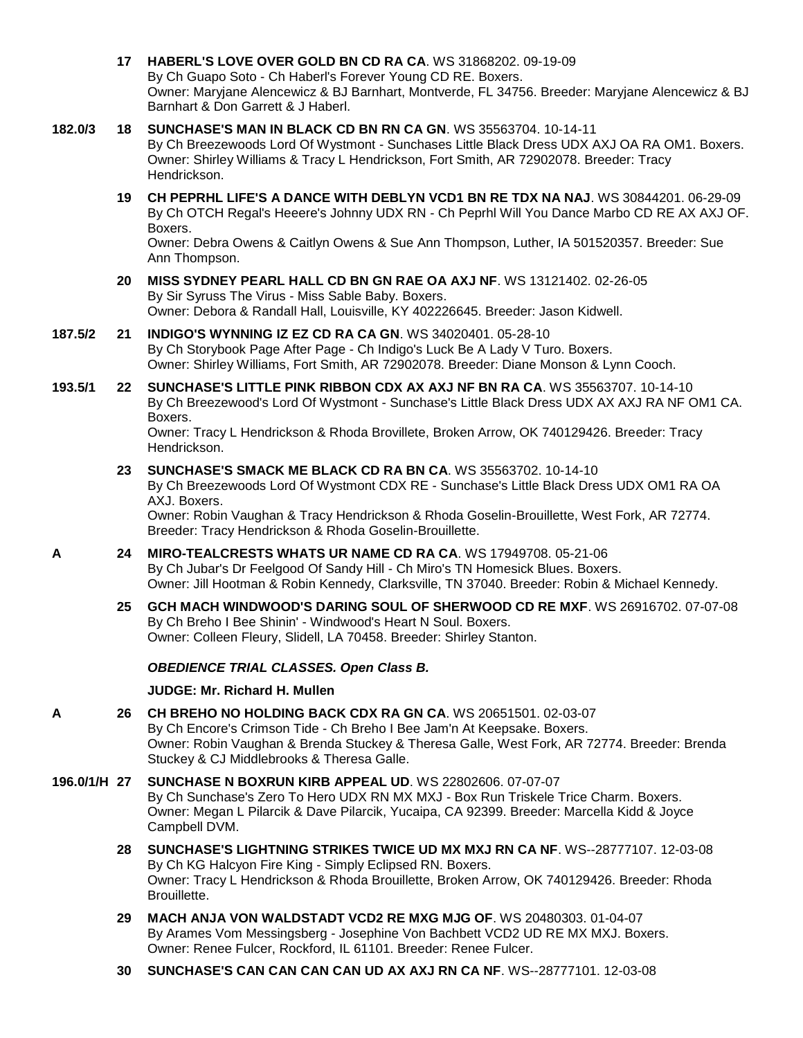- **17 [HABERL'S LOVE OVER GOLD BN CD RA CA](http://www.infodog.com/files/bdogrsl1.prg;makc=WS%2031868202;mdog=Haberl_s_Love_Over_Gold_BN_CD_RA_CA;wins=all)**. WS 31868202. 09-19-09 By Ch Guapo Soto - Ch Haberl's Forever Young CD RE. Boxers. Owner: Maryjane Alencewicz & BJ Barnhart, Montverde, FL 34756. Breeder: Maryjane Alencewicz & BJ Barnhart & Don Garrett & J Haberl.
- **182.0/3 18 [SUNCHASE'S MAN IN BLACK CD BN RN CA GN](http://www.infodog.com/files/bdogrsl1.prg;makc=WS%2035563704;mdog=Sunchase_s_Man_In_Black_CD_BN_RN_CA_GN;wins=all)**. WS 35563704. 10-14-11 By Ch Breezewoods Lord Of Wystmont - Sunchases Little Black Dress UDX AXJ OA RA OM1. Boxers. Owner: Shirley Williams & Tracy L Hendrickson, Fort Smith, AR 72902078. Breeder: Tracy Hendrickson.
	- **19 [CH PEPRHL LIFE'S A DANCE WITH DEBLYN VCD1 BN RE TDX NA NAJ](http://www.infodog.com/files/bdogrsl1.prg;makc=WS%2030844201;mdog=Ch_Peprhl_Life_s_A_Dance_With_DebLyn_VCD1_BN_RE_TDX_NA_NAJ;wins=all)**. WS 30844201. 06-29-09 By Ch OTCH Regal's Heeere's Johnny UDX RN - Ch Peprhl Will You Dance Marbo CD RE AX AXJ OF. Boxers.

Owner: Debra Owens & Caitlyn Owens & Sue Ann Thompson, Luther, IA 501520357. Breeder: Sue Ann Thompson.

- **20 [MISS SYDNEY PEARL HALL CD BN GN RAE OA AXJ NF](http://www.infodog.com/files/bdogrsl1.prg;makc=WS%2013121402;mdog=Miss_Sydney_Pearl_Hall_CD_BN_GN_RAE_OA_AXJ_NF;wins=all)**. WS 13121402. 02-26-05 By Sir Syruss The Virus - Miss Sable Baby. Boxers. Owner: Debora & Randall Hall, Louisville, KY 402226645. Breeder: Jason Kidwell.
- **187.5/2 21 [INDIGO'S WYNNING IZ EZ CD RA CA GN](http://www.infodog.com/files/bdogrsl1.prg;makc=WS%2034020401;mdog=Indigo_s_Wynning_Iz_Ez_CD_RA_CA_GN;wins=all)**. WS 34020401. 05-28-10 By Ch Storybook Page After Page - Ch Indigo's Luck Be A Lady V Turo. Boxers. Owner: Shirley Williams, Fort Smith, AR 72902078. Breeder: Diane Monson & Lynn Cooch.
- **193.5/1 22 [SUNCHASE'S LITTLE PINK RIBBON CDX AX AXJ NF BN RA CA](http://www.infodog.com/files/bdogrsl1.prg;makc=WS%2035563707;mdog=Sunchase_s_Little_Pink_Ribbon_CDX_AX_AXJ_NF_BN_RA_CA;wins=all)**. WS 35563707. 10-14-10 By Ch Breezewood's Lord Of Wystmont - Sunchase's Little Black Dress UDX AX AXJ RA NF OM1 CA. Boxers.

Owner: Tracy L Hendrickson & Rhoda Brovillete, Broken Arrow, OK 740129426. Breeder: Tracy Hendrickson.

**23 [SUNCHASE'S SMACK ME BLACK CD RA BN CA](http://www.infodog.com/files/bdogrsl1.prg;makc=WS%2035563702;mdog=Sunchase_s_Smack_Me_Black_CD_RA_BN_CA;wins=all)**. WS 35563702. 10-14-10 By Ch Breezewoods Lord Of Wystmont CDX RE - Sunchase's Little Black Dress UDX OM1 RA OA AXJ. Boxers.

Owner: Robin Vaughan & Tracy Hendrickson & Rhoda Goselin-Brouillette, West Fork, AR 72774. Breeder: Tracy Hendrickson & Rhoda Goselin-Brouillette.

- **A 24 [MIRO-TEALCRESTS WHATS UR NAME CD RA CA](http://www.infodog.com/files/bdogrsl1.prg;makc=WS%2017949708;mdog=Miro-Tealcrests_Whats_Ur_Name_CD_RA_CA;wins=all)**. WS 17949708. 05-21-06 By Ch Jubar's Dr Feelgood Of Sandy Hill - Ch Miro's TN Homesick Blues. Boxers. Owner: Jill Hootman & Robin Kennedy, Clarksville, TN 37040. Breeder: Robin & Michael Kennedy.
	- **25 [GCH MACH WINDWOOD'S DARING SOUL OF SHERWOOD CD RE MXF](http://www.infodog.com/files/bdogrsl1.prg;makc=WS%2026916702;mdog=GCH_MACH_Windwood_s_Daring_Soul_Of_Sherwood_CD_RE_MXF;wins=all)**. WS 26916702. 07-07-08 By Ch Breho I Bee Shinin' - Windwood's Heart N Soul. Boxers. Owner: Colleen Fleury, Slidell, LA 70458. Breeder: Shirley Stanton.

# *OBEDIENCE TRIAL CLASSES. Open Class B.*

# **JUDGE: [Mr. Richard H. Mullen](http://www.infodog.com/judges/3052/juddat.htm)**

- **A 26 [CH BREHO NO HOLDING BACK CDX RA GN CA](http://www.infodog.com/files/bdogrsl1.prg;makc=WS%2020651501;mdog=Ch_Breho_No_Holding_Back_CDX_RA_GN_CA;wins=all)**. WS 20651501. 02-03-07 By Ch Encore's Crimson Tide - Ch Breho I Bee Jam'n At Keepsake. Boxers. Owner: Robin Vaughan & Brenda Stuckey & Theresa Galle, West Fork, AR 72774. Breeder: Brenda Stuckey & CJ Middlebrooks & Theresa Galle.
- **196.0/1/H 27 [SUNCHASE N BOXRUN KIRB APPEAL UD](http://www.infodog.com/files/bdogrsl1.prg;makc=WS%2022802606;mdog=Sunchase_N_Boxrun_Kirb_Appeal_UD;wins=all)**. WS 22802606. 07-07-07 By Ch Sunchase's Zero To Hero UDX RN MX MXJ - Box Run Triskele Trice Charm. Boxers. Owner: Megan L Pilarcik & Dave Pilarcik, Yucaipa, CA 92399. Breeder: Marcella Kidd & Joyce Campbell DVM.
	- **28 [SUNCHASE'S LIGHTNING STRIKES TWICE UD MX MXJ RN CA NF](http://www.infodog.com/files/bdogrsl1.prg;makc=WS--28777107;mdog=Sunchase_s_Lightning_Strikes_Twice_UD_MX_MXJ_RN_CA_NF;wins=all)**. WS--28777107. 12-03-08 By Ch KG Halcyon Fire King - Simply Eclipsed RN. Boxers. Owner: Tracy L Hendrickson & Rhoda Brouillette, Broken Arrow, OK 740129426. Breeder: Rhoda Brouillette.
	- **29 [MACH ANJA VON WALDSTADT VCD2 RE MXG MJG OF](http://www.infodog.com/files/bdogrsl1.prg;makc=WS%2020480303;mdog=MACH_Anja_Von_Waldstadt_VCD2_RE_MXG_MJG_OF;wins=all)**. WS 20480303. 01-04-07 By Arames Vom Messingsberg - Josephine Von Bachbett VCD2 UD RE MX MXJ. Boxers. Owner: Renee Fulcer, Rockford, IL 61101. Breeder: Renee Fulcer.
	- **30 [SUNCHASE'S CAN CAN CAN CAN UD AX AXJ RN CA NF](http://www.infodog.com/files/bdogrsl1.prg;makc=WS--28777101;mdog=Sunchase_s_Can_Can_Can_Can_UD_AX_AXJ_RN_CA_NF;wins=all)**. WS--28777101. 12-03-08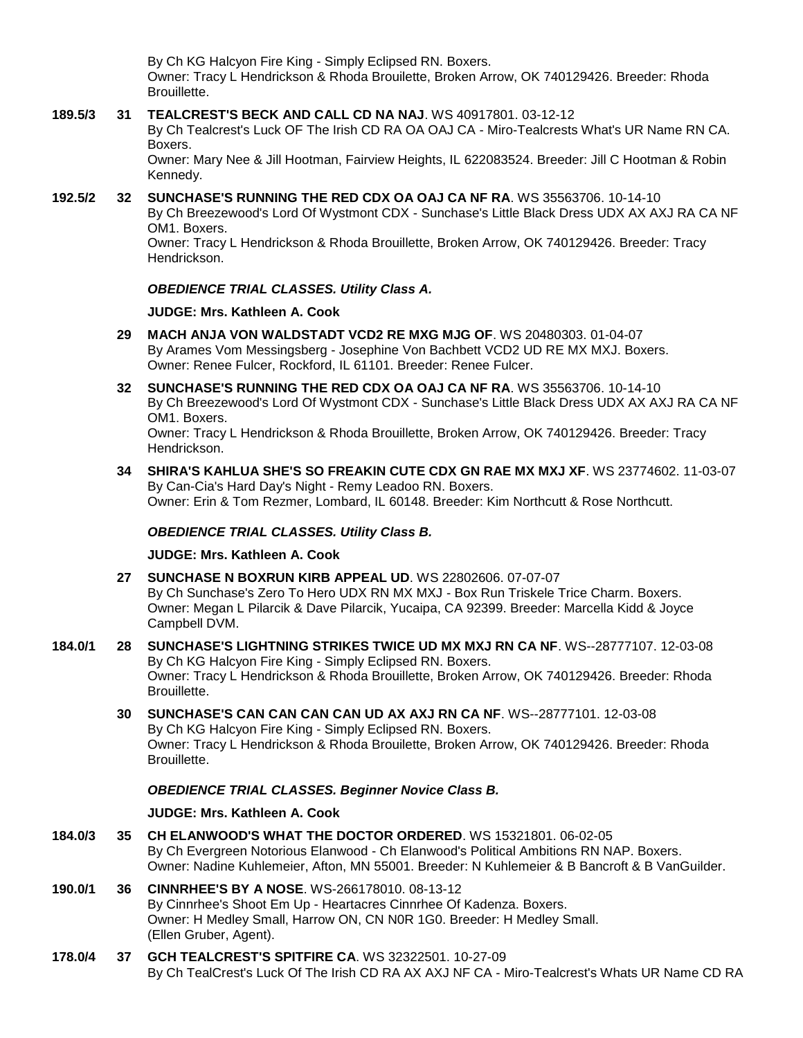By Ch KG Halcyon Fire King - Simply Eclipsed RN. Boxers. Owner: Tracy L Hendrickson & Rhoda Brouilette, Broken Arrow, OK 740129426. Breeder: Rhoda Brouillette.

## **189.5/3 31 [TEALCREST'S BECK AND CALL CD NA NAJ](http://www.infodog.com/files/bdogrsl1.prg;makc=WS%2040917801;mdog=Tealcrest_s_Beck_And_Call_CD_NA_NAJ;wins=all)**. WS 40917801. 03-12-12

By Ch Tealcrest's Luck OF The Irish CD RA OA OAJ CA - Miro-Tealcrests What's UR Name RN CA. Boxers.

Owner: Mary Nee & Jill Hootman, Fairview Heights, IL 622083524. Breeder: Jill C Hootman & Robin Kennedy.

### **192.5/2 32 [SUNCHASE'S RUNNING THE RED CDX OA OAJ CA NF RA](http://www.infodog.com/files/bdogrsl1.prg;makc=WS%2035563706;mdog=Sunchase_s_Running_The_Red_CDX_OA_OAJ_CA_NF_RA;wins=all)**. WS 35563706. 10-14-10 By Ch Breezewood's Lord Of Wystmont CDX - Sunchase's Little Black Dress UDX AX AXJ RA CA NF OM1. Boxers.

Owner: Tracy L Hendrickson & Rhoda Brouillette, Broken Arrow, OK 740129426. Breeder: Tracy Hendrickson.

# *OBEDIENCE TRIAL CLASSES. Utility Class A.*

# **JUDGE: [Mrs. Kathleen A. Cook](http://www.infodog.com/judges/37193/juddat.htm)**

- **29 [MACH ANJA VON WALDSTADT VCD2 RE MXG MJG OF](http://www.infodog.com/files/bdogrsl1.prg;makc=WS%2020480303;mdog=MACH_Anja_Von_Waldstadt_VCD2_RE_MXG_MJG_OF;wins=all)**. WS 20480303. 01-04-07 By Arames Vom Messingsberg - Josephine Von Bachbett VCD2 UD RE MX MXJ. Boxers. Owner: Renee Fulcer, Rockford, IL 61101. Breeder: Renee Fulcer.
- **32 [SUNCHASE'S RUNNING THE RED CDX OA OAJ CA NF RA](http://www.infodog.com/files/bdogrsl1.prg;makc=WS%2035563706;mdog=Sunchase_s_Running_The_Red_CDX_OA_OAJ_CA_NF_RA;wins=all)**. WS 35563706. 10-14-10 By Ch Breezewood's Lord Of Wystmont CDX - Sunchase's Little Black Dress UDX AX AXJ RA CA NF OM1. Boxers. Owner: Tracy L Hendrickson & Rhoda Brouillette, Broken Arrow, OK 740129426. Breeder: Tracy Hendrickson.
- **34 [SHIRA'S KAHLUA SHE'S SO FREAKIN CUTE CDX GN RAE MX MXJ XF](http://www.infodog.com/files/bdogrsl1.prg;makc=WS%2023774602;mdog=Shira_s_Kahlua_She_s_So_Freakin_Cute_CDX_GN_RAE_MX_MXJ_XF;wins=all)**. WS 23774602. 11-03-07 By Can-Cia's Hard Day's Night - Remy Leadoo RN. Boxers. Owner: Erin & Tom Rezmer, Lombard, IL 60148. Breeder: Kim Northcutt & Rose Northcutt.

# *OBEDIENCE TRIAL CLASSES. Utility Class B.*

**JUDGE: [Mrs. Kathleen A. Cook](http://www.infodog.com/judges/37193/juddat.htm)**

- **27 [SUNCHASE N BOXRUN KIRB APPEAL UD](http://www.infodog.com/files/bdogrsl1.prg;makc=WS%2022802606;mdog=Sunchase_N_Boxrun_Kirb_Appeal_UD;wins=all)**. WS 22802606. 07-07-07 By Ch Sunchase's Zero To Hero UDX RN MX MXJ - Box Run Triskele Trice Charm. Boxers. Owner: Megan L Pilarcik & Dave Pilarcik, Yucaipa, CA 92399. Breeder: Marcella Kidd & Joyce Campbell DVM.
- **184.0/1 28 [SUNCHASE'S LIGHTNING STRIKES TWICE UD MX MXJ RN CA NF](http://www.infodog.com/files/bdogrsl1.prg;makc=WS--28777107;mdog=Sunchase_s_Lightning_Strikes_Twice_UD_MX_MXJ_RN_CA_NF;wins=all)**. WS--28777107. 12-03-08 By Ch KG Halcyon Fire King - Simply Eclipsed RN. Boxers. Owner: Tracy L Hendrickson & Rhoda Brouillette, Broken Arrow, OK 740129426. Breeder: Rhoda Brouillette.

#### **30 [SUNCHASE'S CAN CAN CAN CAN UD AX AXJ RN CA NF](http://www.infodog.com/files/bdogrsl1.prg;makc=WS--28777101;mdog=Sunchase_s_Can_Can_Can_Can_UD_AX_AXJ_RN_CA_NF;wins=all)**. WS--28777101. 12-03-08 By Ch KG Halcyon Fire King - Simply Eclipsed RN. Boxers. Owner: Tracy L Hendrickson & Rhoda Brouilette, Broken Arrow, OK 740129426. Breeder: Rhoda Brouillette.

# *OBEDIENCE TRIAL CLASSES. Beginner Novice Class B.*

# **JUDGE: [Mrs. Kathleen A. Cook](http://www.infodog.com/judges/37193/juddat.htm)**

- **184.0/3 35 [CH ELANWOOD'S WHAT THE DOCTOR ORDERED](http://www.infodog.com/files/bdogrsl1.prg;makc=WS%2015321801;mdog=Ch_Elanwood_s_What_The_Doctor_Ordered;wins=all)**. WS 15321801. 06-02-05 By Ch Evergreen Notorious Elanwood - Ch Elanwood's Political Ambitions RN NAP. Boxers. Owner: Nadine Kuhlemeier, Afton, MN 55001. Breeder: N Kuhlemeier & B Bancroft & B VanGuilder.
- **190.0/1 36 [CINNRHEE'S BY A NOSE](http://www.infodog.com/files/bdogrsl1.prg;makc=WS-266178010;mdog=Cinnrhee_s_By_A_Nose;wins=all)**. WS-266178010. 08-13-12 By Cinnrhee's Shoot Em Up - Heartacres Cinnrhee Of Kadenza. Boxers. Owner: H Medley Small, Harrow ON, CN N0R 1G0. Breeder: H Medley Small. (Ellen Gruber, Agent).
- **178.0/4 37 [GCH TEALCREST'S SPITFIRE CA](http://www.infodog.com/files/bdogrsl1.prg;makc=WS%2032322501;mdog=GCH_TealCrest_s_Spitfire_CA;wins=all)**. WS 32322501. 10-27-09 By Ch TealCrest's Luck Of The Irish CD RA AX AXJ NF CA - Miro-Tealcrest's Whats UR Name CD RA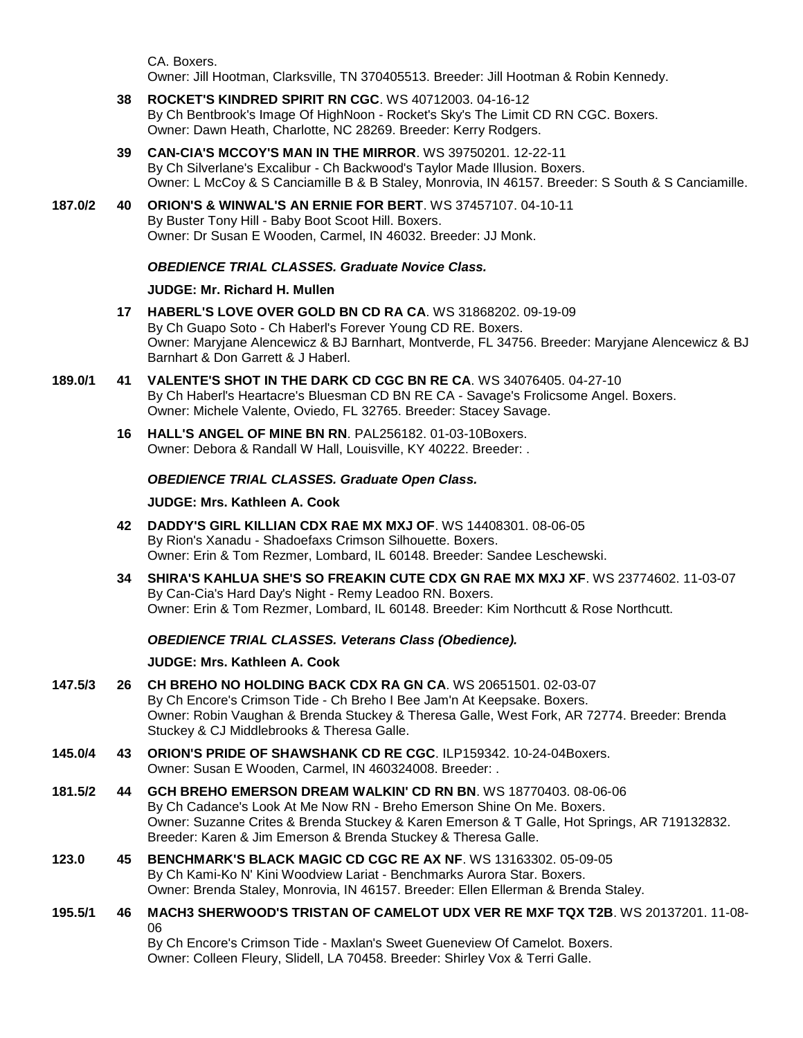CA. Boxers. Owner: Jill Hootman, Clarksville, TN 370405513. Breeder: Jill Hootman & Robin Kennedy.

- **38 [ROCKET'S KINDRED SPIRIT RN CGC](http://www.infodog.com/files/bdogrsl1.prg;makc=WS%2040712003;mdog=Rocket_s_Kindred_Spirit_RN_CGC;wins=all)**. WS 40712003. 04-16-12 By Ch Bentbrook's Image Of HighNoon - Rocket's Sky's The Limit CD RN CGC. Boxers. Owner: Dawn Heath, Charlotte, NC 28269. Breeder: Kerry Rodgers.
- **39 [CAN-CIA'S MCCOY'S MAN IN THE MIRROR](http://www.infodog.com/files/bdogrsl1.prg;makc=WS%2039750201;mdog=Can-cia_s_Mccoy_s_Man_In_The_Mirror;wins=all)**. WS 39750201. 12-22-11 By Ch Silverlane's Excalibur - Ch Backwood's Taylor Made Illusion. Boxers. Owner: L McCoy & S Canciamille B & B Staley, Monrovia, IN 46157. Breeder: S South & S Canciamille.
- **187.0/2 40 [ORION'S & WINWAL'S AN ERNIE FOR BERT](http://www.infodog.com/files/bdogrsl1.prg;makc=WS%2037457107;mdog=Orion_s_&_Winwal_s_An_Ernie_For_Bert;wins=all)**. WS 37457107. 04-10-11 By Buster Tony Hill - Baby Boot Scoot Hill. Boxers. Owner: Dr Susan E Wooden, Carmel, IN 46032. Breeder: JJ Monk.

## *OBEDIENCE TRIAL CLASSES. Graduate Novice Class.*

## **JUDGE: [Mr. Richard H. Mullen](http://www.infodog.com/judges/3052/juddat.htm)**

- **17 [HABERL'S LOVE OVER GOLD BN CD RA CA](http://www.infodog.com/files/bdogrsl1.prg;makc=WS%2031868202;mdog=Haberl_s_Love_Over_Gold_BN_CD_RA_CA;wins=all)**. WS 31868202. 09-19-09 By Ch Guapo Soto - Ch Haberl's Forever Young CD RE. Boxers. Owner: Maryjane Alencewicz & BJ Barnhart, Montverde, FL 34756. Breeder: Maryjane Alencewicz & BJ Barnhart & Don Garrett & J Haberl.
- **189.0/1 41 [VALENTE'S SHOT IN THE DARK CD CGC BN RE CA](http://www.infodog.com/files/bdogrsl1.prg;makc=WS%2034076405;mdog=Valente_s_Shot_In_The_Dark_CD_CGC_BN_RE_CA;wins=all)**. WS 34076405. 04-27-10 By Ch Haberl's Heartacre's Bluesman CD BN RE CA - Savage's Frolicsome Angel. Boxers. Owner: Michele Valente, Oviedo, FL 32765. Breeder: Stacey Savage.
	- **16 [HALL'S ANGEL OF MINE BN RN](http://www.infodog.com/files/bdogrsl1.prg;makc=PAL256182;mdog=Hall_s_Angel_Of_Mine_BN_RN;wins=all)**. PAL256182. 01-03-10Boxers. Owner: Debora & Randall W Hall, Louisville, KY 40222. Breeder: .

## *OBEDIENCE TRIAL CLASSES. Graduate Open Class.*

### **JUDGE: [Mrs. Kathleen A. Cook](http://www.infodog.com/judges/37193/juddat.htm)**

- **42 [DADDY'S GIRL KILLIAN CDX RAE MX MXJ OF](http://www.infodog.com/files/bdogrsl1.prg;makc=WS%2014408301;mdog=Daddy_s_Girl_Killian_CDX_RAE_MX_MXJ_OF;wins=all)**. WS 14408301. 08-06-05 By Rion's Xanadu - Shadoefaxs Crimson Silhouette. Boxers. Owner: Erin & Tom Rezmer, Lombard, IL 60148. Breeder: Sandee Leschewski.
- **34 [SHIRA'S KAHLUA SHE'S SO FREAKIN CUTE CDX GN RAE MX MXJ XF](http://www.infodog.com/files/bdogrsl1.prg;makc=WS%2023774602;mdog=Shira_s_Kahlua_She_s_So_Freakin_Cute_CDX_GN_RAE_MX_MXJ_XF;wins=all)**. WS 23774602. 11-03-07 By Can-Cia's Hard Day's Night - Remy Leadoo RN. Boxers. Owner: Erin & Tom Rezmer, Lombard, IL 60148. Breeder: Kim Northcutt & Rose Northcutt.

### *OBEDIENCE TRIAL CLASSES. Veterans Class (Obedience).*

### **JUDGE: [Mrs. Kathleen A. Cook](http://www.infodog.com/judges/37193/juddat.htm)**

- **147.5/3 26 [CH BREHO NO HOLDING BACK CDX RA GN CA](http://www.infodog.com/files/bdogrsl1.prg;makc=WS%2020651501;mdog=Ch_Breho_No_Holding_Back_CDX_RA_GN_CA;wins=all)**. WS 20651501. 02-03-07 By Ch Encore's Crimson Tide - Ch Breho I Bee Jam'n At Keepsake. Boxers. Owner: Robin Vaughan & Brenda Stuckey & Theresa Galle, West Fork, AR 72774. Breeder: Brenda Stuckey & CJ Middlebrooks & Theresa Galle.
- **145.0/4 43 [ORION'S PRIDE OF SHAWSHANK CD RE CGC](http://www.infodog.com/files/bdogrsl1.prg;makc=ILP159342;mdog=Orion_s_Pride_Of_Shawshank_CD_RE_CGC;wins=all)**. ILP159342. 10-24-04Boxers. Owner: Susan E Wooden, Carmel, IN 460324008. Breeder: .
- **181.5/2 44 [GCH BREHO EMERSON DREAM WALKIN' CD RN BN](http://www.infodog.com/files/bdogrsl1.prg;makc=WS%2018770403;mdog=GCH_Breho_Emerson_Dream_Walkin__CD_RN_BN;wins=all)**. WS 18770403. 08-06-06 By Ch Cadance's Look At Me Now RN - Breho Emerson Shine On Me. Boxers. Owner: Suzanne Crites & Brenda Stuckey & Karen Emerson & T Galle, Hot Springs, AR 719132832. Breeder: Karen & Jim Emerson & Brenda Stuckey & Theresa Galle.
- **123.0 45 [BENCHMARK'S BLACK MAGIC CD CGC RE AX NF](http://www.infodog.com/files/bdogrsl1.prg;makc=WS%2013163302;mdog=Benchmark_s_Black_Magic_CD_CGC_RE_AX_NF;wins=all)**. WS 13163302. 05-09-05 By Ch Kami-Ko N' Kini Woodview Lariat - Benchmarks Aurora Star. Boxers. Owner: Brenda Staley, Monrovia, IN 46157. Breeder: Ellen Ellerman & Brenda Staley.
- **195.5/1 46 [MACH3 SHERWOOD'S TRISTAN OF CAMELOT UDX VER RE MXF TQX T2B](http://www.infodog.com/files/bdogrsl1.prg;makc=WS%2020137201;mdog=MACH3_Sherwood_s_Tristan_Of_Camelot_UDX_VER_RE_MXF_TQX_T2B;wins=all)**. WS 20137201. 11-08- 06 By Ch Encore's Crimson Tide - Maxlan's Sweet Gueneview Of Camelot. Boxers.

Owner: Colleen Fleury, Slidell, LA 70458. Breeder: Shirley Vox & Terri Galle.